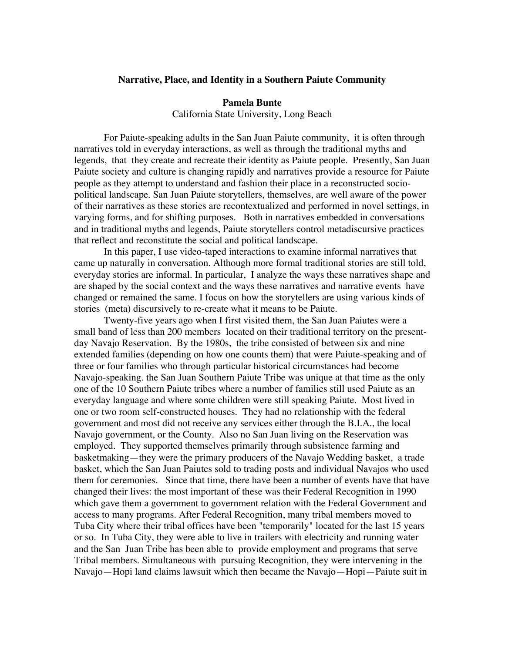## **Narrative, Place, and Identity in a Southern Paiute Community**

#### **Pamela Bunte**

California State University, Long Beach

For Paiute-speaking adults in the San Juan Paiute community, it is often through narratives told in everyday interactions, as well as through the traditional myths and legends, that they create and recreate their identity as Paiute people. Presently, San Juan Paiute society and culture is changing rapidly and narratives provide a resource for Paiute people as they attempt to understand and fashion their place in a reconstructed sociopolitical landscape. San Juan Paiute storytellers, themselves, are well aware of the power of their narratives as these stories are recontextualized and performed in novel settings, in varying forms, and for shifting purposes. Both in narratives embedded in conversations and in traditional myths and legends, Paiute storytellers control metadiscursive practices that reflect and reconstitute the social and political landscape.

In this paper, I use video-taped interactions to examine informal narratives that came up naturally in conversation. Although more formal traditional stories are still told, everyday stories are informal. In particular, I analyze the ways these narratives shape and are shaped by the social context and the ways these narratives and narrative events have changed or remained the same. I focus on how the storytellers are using various kinds of stories (meta) discursively to re-create what it means to be Paiute.

Twenty-five years ago when I first visited them, the San Juan Paiutes were a small band of less than 200 members located on their traditional territory on the presentday Navajo Reservation. By the 1980s, the tribe consisted of between six and nine extended families (depending on how one counts them) that were Paiute-speaking and of three or four families who through particular historical circumstances had become Navajo-speaking. the San Juan Southern Paiute Tribe was unique at that time as the only one of the 10 Southern Paiute tribes where a number of families still used Paiute as an everyday language and where some children were still speaking Paiute. Most lived in one or two room self-constructed houses. They had no relationship with the federal government and most did not receive any services either through the B.I.A., the local Navajo government, or the County. Also no San Juan living on the Reservation was employed. They supported themselves primarily through subsistence farming and basketmaking—they were the primary producers of the Navajo Wedding basket, a trade basket, which the San Juan Paiutes sold to trading posts and individual Navajos who used them for ceremonies. Since that time, there have been a number of events have that have changed their lives: the most important of these was their Federal Recognition in 1990 which gave them a government to government relation with the Federal Government and access to many programs. After Federal Recognition, many tribal members moved to Tuba City where their tribal offices have been "temporarily" located for the last 15 years or so. In Tuba City, they were able to live in trailers with electricity and running water and the San Juan Tribe has been able to provide employment and programs that serve Tribal members. Simultaneous with pursuing Recognition, they were intervening in the Navajo—Hopi land claims lawsuit which then became the Navajo—Hopi—Paiute suit in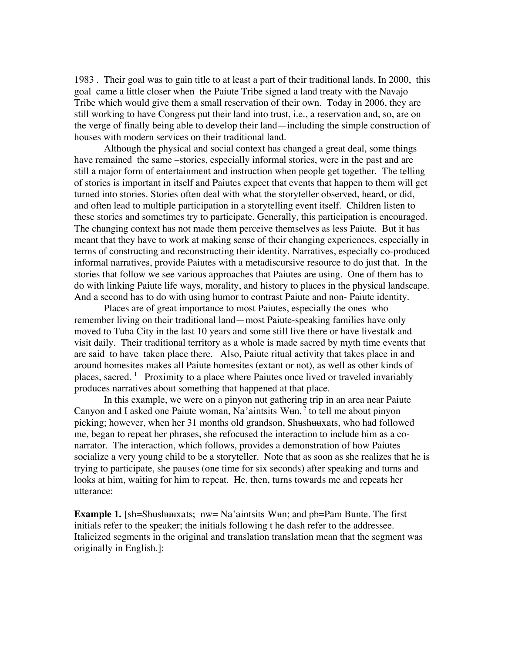1983 . Their goal was to gain title to at least a part of their traditional lands. In 2000, this goal came a little closer when the Paiute Tribe signed a land treaty with the Navajo Tribe which would give them a small reservation of their own. Today in 2006, they are still working to have Congress put their land into trust, i.e., a reservation and, so, are on the verge of finally being able to develop their land—including the simple construction of houses with modern services on their traditional land.

Although the physical and social context has changed a great deal, some things have remained the same –stories, especially informal stories, were in the past and are still a major form of entertainment and instruction when people get together. The telling of stories is important in itself and Paiutes expect that events that happen to them will get turned into stories. Stories often deal with what the storyteller observed, heard, or did, and often lead to multiple participation in a storytelling event itself. Children listen to these stories and sometimes try to participate. Generally, this participation is encouraged. The changing context has not made them perceive themselves as less Paiute. But it has meant that they have to work at making sense of their changing experiences, especially in terms of constructing and reconstructing their identity. Narratives, especially co-produced informal narratives, provide Paiutes with a metadiscursive resource to do just that. In the stories that follow we see various approaches that Paiutes are using. One of them has to do with linking Paiute life ways, morality, and history to places in the physical landscape. And a second has to do with using humor to contrast Paiute and non- Paiute identity.

Places are of great importance to most Paiutes, especially the ones who remember living on their traditional land—most Paiute-speaking families have only moved to Tuba City in the last 10 years and some still live there or have livestalk and visit daily. Their traditional territory as a whole is made sacred by myth time events that are said to have taken place there. Also, Paiute ritual activity that takes place in and around homesites makes all Paiute homesites (extant or not), as well as other kinds of places, sacred. <sup>1</sup> Proximity to a place where Paiutes once lived or traveled invariably produces narratives about something that happened at that place.

In this example, we were on a pinyon nut gathering trip in an area near Paiute Canyon and I asked one Paiute woman, Na'aintsits  $Wun<sub>l</sub>$ <sup>2</sup> to tell me about pinyon picking; however, when her 31 months old grandson, Shushuuxats, who had followed me, began to repeat her phrases, she refocused the interaction to include him as a conarrator. The interaction, which follows, provides a demonstration of how Paiutes socialize a very young child to be a storyteller. Note that as soon as she realizes that he is trying to participate, she pauses (one time for six seconds) after speaking and turns and looks at him, waiting for him to repeat. He, then, turns towards me and repeats her utterance:

**Example 1.** [sh=Shushuuxats; nw= Na'aintsits Wun; and pb=Pam Bunte. The first initials refer to the speaker; the initials following t he dash refer to the addressee. Italicized segments in the original and translation translation mean that the segment was originally in English.]: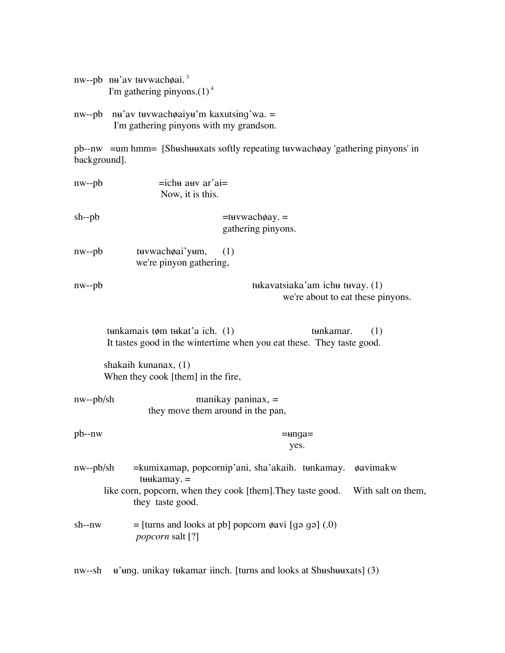|              | nw--pb n <del>u</del> 'av t <del>u</del> vwachøai. <sup>3</sup><br>I'm gathering pinyons. $(1)^4$                                                                                                       |
|--------------|---------------------------------------------------------------------------------------------------------------------------------------------------------------------------------------------------------|
|              | nw--pb nu'av tuvwachøaiyu'm kaxutsing'wa. =<br>I'm gathering pinyons with my grandson.                                                                                                                  |
| background]. | pb--nw = um hmm = [Shushuuxats softly repeating tuvwacho ay 'gathering pinyons' in                                                                                                                      |
| nw--pb       | $=$ ichu auv ar'ai $=$<br>Now, it is this.                                                                                                                                                              |
| sh--pb       | $=$ tuvwach $\phi$ ay. $=$<br>gathering pinyons.                                                                                                                                                        |
| nw--pb       | tuvwachoai'yum,<br>(1)<br>we're pinyon gathering,                                                                                                                                                       |
| nw--pb       | tukavatsiaka'am ichu tuvay. (1)<br>we're about to eat these pinyons.                                                                                                                                    |
|              | tunkamais tøm tukat'a ich. $(1)$<br>tunkamar.<br>(1)<br>It tastes good in the wintertime when you eat these. They taste good.                                                                           |
|              | shakaih kunanax, (1)<br>When they cook [them] in the fire,                                                                                                                                              |
| nw--pb/sh    | manikay paninax, $=$<br>they move them around in the pan,                                                                                                                                               |
| pb--nw       | =unga=<br>yes.                                                                                                                                                                                          |
| nw--pb/sh    | =kumixamap, popcornip'ani, sha'akaih. tunkamay.<br><b><i>øavimakw</i></b><br>$t$ we kamay. $=$<br>like corn, popcorn, when they cook [them]. They taste good.<br>With salt on them,<br>they taste good. |
| sh--nw       | $=$ [turns and looks at pb] popcorn $\phi$ avi [gə gə] (.0)<br><i>popcorn</i> salt [?]                                                                                                                  |

nw--sh u'ung. unikay tukamar iinch. [turns and looks at Shushuuxats] (3)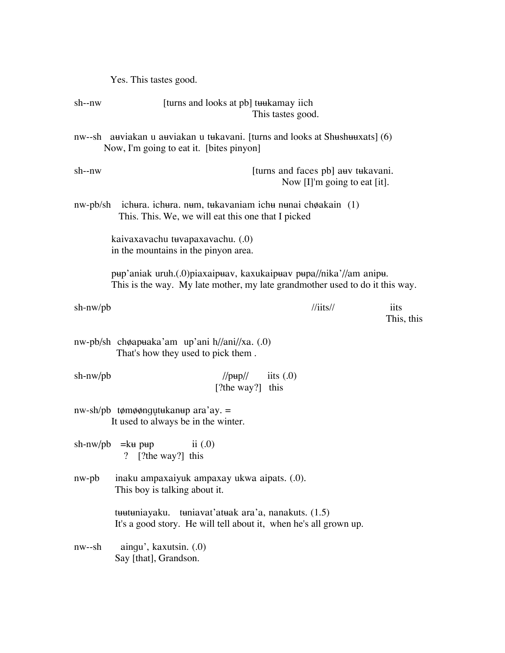Yes. This tastes good.

| sh--nw     | [turns and looks at pb] turkamay iich                                                                                                             | This tastes good.                  |                                    |                    |
|------------|---------------------------------------------------------------------------------------------------------------------------------------------------|------------------------------------|------------------------------------|--------------------|
|            | nw--sh auviakan u auviakan u tukavani. [turns and looks at Shushuuxats] (6)<br>Now, I'm going to eat it. [bites pinyon]                           |                                    |                                    |                    |
| sh--nw     |                                                                                                                                                   | [turns and faces pb] auv tukavani. | Now $[I]'$ m going to eat $[it]$ . |                    |
|            | $nw-pb/\nsh$ ichura. ichura. num, tukavaniam ichu nunai ch $\phi$ akain (1)<br>This. This. We, we will eat this one that I picked                 |                                    |                                    |                    |
|            | kaivaxavachu tuvapaxavachu. (.0)<br>in the mountains in the pinyon area.                                                                          |                                    |                                    |                    |
|            | рнр'aniak uruh.(0) piaxaipнаv, kaxukaipнаv pнра//nika'//am anipн.<br>This is the way. My late mother, my late grandmother used to do it this way. |                                    |                                    |                    |
| $sh-nw/pb$ |                                                                                                                                                   | $\frac{\pi}{3}$                    |                                    | iits<br>This, this |
|            | nw-pb/sh chøapuaka'am up'ani h//ani//xa. (.0)<br>That's how they used to pick them.                                                               |                                    |                                    |                    |
| sh-nw/pb   | $\frac{1}{p\mu p}}$ iits (.0)<br>[?the way?] this                                                                                                 |                                    |                                    |                    |
|            | $nw-sh/pb$ tømøøngutukanup ara'ay. =<br>It used to always be in the winter.                                                                       |                                    |                                    |                    |
|            | sh-nw/pb $=$ $k$ $+$ p $+$<br>ii $(0)$<br>? [?the way?] this                                                                                      |                                    |                                    |                    |
| nw-pb      | inaku ampaxaiyuk ampaxay ukwa aipats. (.0).<br>This boy is talking about it.                                                                      |                                    |                                    |                    |
|            | tuutuniayaku. tuniavat'atuak ara'a, nanakuts. (1.5)<br>It's a good story. He will tell about it, when he's all grown up.                          |                                    |                                    |                    |
| nw--sh     | aingu', kaxutsin. (.0)<br>Say [that], Grandson.                                                                                                   |                                    |                                    |                    |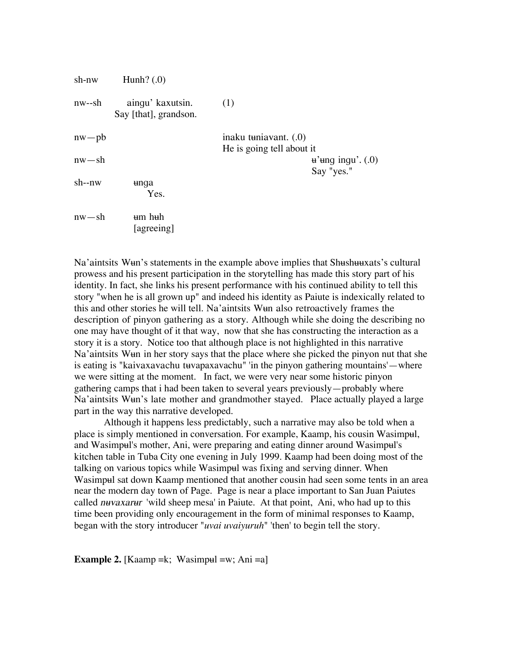| sh-nw     | Hunh? $(0)$                               |                                                     |                                       |
|-----------|-------------------------------------------|-----------------------------------------------------|---------------------------------------|
| nw--sh    | aingu' kaxutsin.<br>Say [that], grandson. | (1)                                                 |                                       |
| $nw$ – pb |                                           | inaku tuniavant. $(0)$<br>He is going tell about it |                                       |
| $nw - sh$ |                                           |                                                     | $\mu$ 'ung ingu'. $(0)$<br>Say "yes." |
| $sh-nw$   | unqa<br>Yes.                              |                                                     |                                       |
| $nw - sh$ | um huh<br>[agreeing]                      |                                                     |                                       |

Na'aintsits Wun's statements in the example above implies that Shushuuxats's cultural prowess and his present participation in the storytelling has made this story part of his identity. In fact, she links his present performance with his continued ability to tell this story "when he is all grown up" and indeed his identity as Paiute is indexically related to this and other stories he will tell. Na'aintsits Wun also retroactively frames the description of pinyon gathering as a story. Although while she doing the describing no one may have thought of it that way, now that she has constructing the interaction as a story it is a story. Notice too that although place is not highlighted in this narrative Na'aintsits Wun in her story says that the place where she picked the pinyon nut that she is eating is "kaivaxavachu tuvapaxavachu" 'in the pinyon gathering mountains'—where we were sitting at the moment. In fact, we were very near some historic pinyon gathering camps that i had been taken to several years previously—probably where Na'aintsits Wun's late mother and grandmother stayed. Place actually played a large part in the way this narrative developed.

Although it happens less predictably, such a narrative may also be told when a place is simply mentioned in conversation. For example, Kaamp, his cousin Wasimpul, and Wasimpul's mother, Ani, were preparing and eating dinner around Wasimpul's kitchen table in Tuba City one evening in July 1999. Kaamp had been doing most of the talking on various topics while Wasimpul was fixing and serving dinner. When Wasimpul sat down Kaamp mentioned that another cousin had seen some tents in an area near the modern day town of Page. Page is near a place important to San Juan Paiutes called nuvaxarur 'wild sheep mesa' in Paiute. At that point, Ani, who had up to this time been providing only encouragement in the form of minimal responses to Kaamp, began with the story introducer "*uvai uvaiyuruh*" 'then' to begin tell the story.

**Example 2.** [Kaamp = k; Wasimpul = w; Ani = a]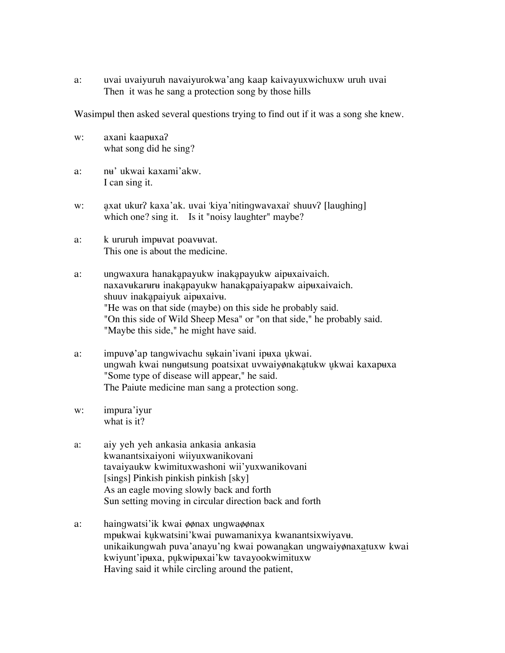a: uvai uvaiyuruh navaiyurokwa'ang kaap kaivayuxwichuxw uruh uvai Then it was he sang a protection song by those hills

Wasimpul then asked several questions trying to find out if it was a song she knew.

- w: axani kaapuxa? what song did he sing?
- a: nu' ukwai kaxami'akw. I can sing it.
- w: axat ukur? kaxa'ak. uvai 'kiya'nitingwavaxai' shuuv? [laughing] which one? sing it. Is it "noisy laughter" maybe?
- a: k ururuh impuvat poavuvat. This one is about the medicine.
- a: ungwaxura hanakapayukw inakapayukw aipuxaivaich. naxavukaruru inakapayukw hanakapaiyapakw aipuxaivaich. shuuv inakapaiyuk aipuxaivu. "He was on that side (maybe) on this side he probably said. "On this side of Wild Sheep Mesa" or "on that side," he probably said. "Maybe this side," he might have said.
- a: impuvø'ap tangwivachu sukain'ivani ipuxa ukwai. ungwah kwai nungutsung poatsixat uvwaiyønakatukw ukwai kaxapuxa "Some type of disease will appear," he said. The Paiute medicine man sang a protection song.
- w: impura'iyur what is it?
- a: aiy yeh yeh ankasia ankasia ankasia kwanantsixaiyoni wiiyuxwanikovani tavaiyaukw kwimituxwashoni wii'yuxwanikovani [sings] Pinkish pinkish pinkish [sky] As an eagle moving slowly back and forth Sun setting moving in circular direction back and forth
- a: haingwatsi'ik kwai  $\phi$  $\phi$ nax ungwa $\phi$  $\phi$ nax mpukwai kukwatsini'kwai puwamanixya kwanantsixwiyavu. unikaikungwah puva'anayu'ng kwai powanakan ungwaiyønaxatuxw kwai kwiyunt'ipuxa, pukwipuxai'kw tavayookwimituxw Having said it while circling around the patient,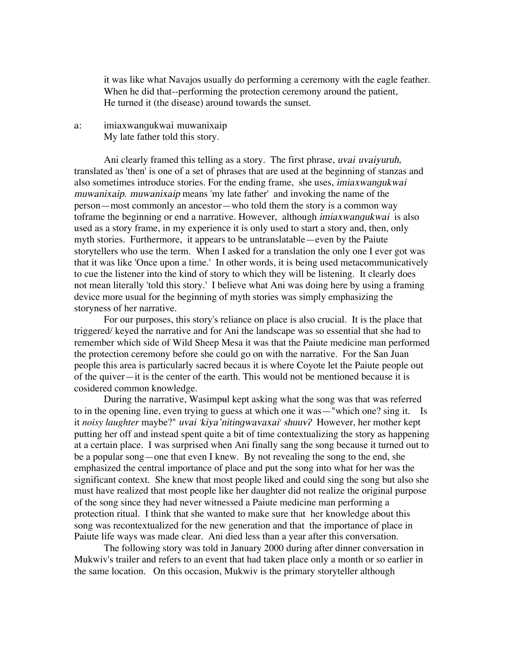it was like what Navajos usually do performing a ceremony with the eagle feather. When he did that--performing the protection ceremony around the patient, He turned it (the disease) around towards the sunset.

a: imiaxwangukwai muwanixaip My late father told this story.

Ani clearly framed this telling as a story. The first phrase, uvai uvaiyuruh, translated as 'then' is one of a set of phrases that are used at the beginning of stanzas and also sometimes introduce stories. For the ending frame, she uses, imiaxwangukwai muwanixaip. muwanixaip means 'my late father' and invoking the name of the person—most commonly an ancestor—who told them the story is a common way toframe the beginning or end a narrative. However, although imiaxwangukwai is also used as a story frame, in my experience it is only used to start a story and, then, only myth stories. Furthermore, it appears to be untranslatable—even by the Paiute storytellers who use the term. When I asked for a translation the only one I ever got was that it was like 'Once upon a time.' In other words, it is being used metacommunicatively to cue the listener into the kind of story to which they will be listening. It clearly does not mean literally 'told this story.' I believe what Ani was doing here by using a framing device more usual for the beginning of myth stories was simply emphasizing the storyness of her narrative.

For our purposes, this story's reliance on place is also crucial. It is the place that triggered/ keyed the narrative and for Ani the landscape was so essential that she had to remember which side of Wild Sheep Mesa it was that the Paiute medicine man performed the protection ceremony before she could go on with the narrative. For the San Juan people this area is particularly sacred becaus it is where Coyote let the Paiute people out of the quiver—it is the center of the earth. This would not be mentioned because it is cosidered common knowledge.

During the narrative, Wasimpul kept asking what the song was that was referred to in the opening line, even trying to guess at which one it was—"which one? sing it. Is it *noisy laughter* maybe?" *uvai 'kiya'nitingwavaxai' shuuv?* However, her mother kept putting her off and instead spent quite a bit of time contextualizing the story as happening at a certain place. I was surprised when Ani finally sang the song because it turned out to be a popular song—one that even I knew. By not revealing the song to the end, she emphasized the central importance of place and put the song into what for her was the significant context. She knew that most people liked and could sing the song but also she must have realized that most people like her daughter did not realize the original purpose of the song since they had never witnessed a Paiute medicine man performing a protection ritual. I think that she wanted to make sure that her knowledge about this song was recontextualized for the new generation and that the importance of place in Paiute life ways was made clear. Ani died less than a year after this conversation.

The following story was told in January 2000 during after dinner conversation in Mukwiv's trailer and refers to an event that had taken place only a month or so earlier in the same location. On this occasion, Mukwiv is the primary storyteller although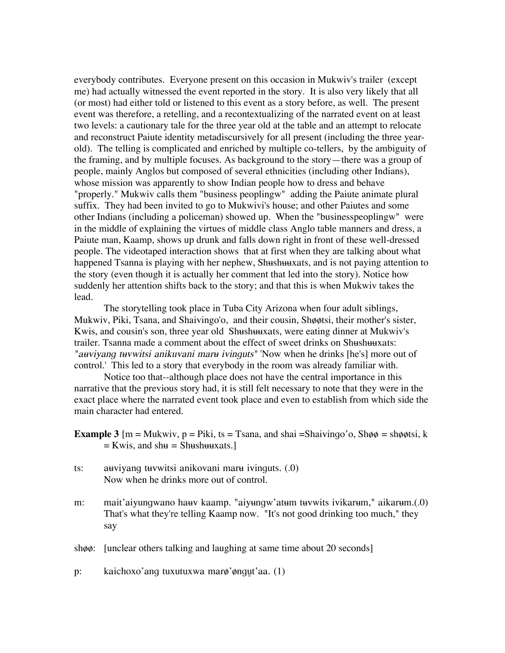everybody contributes. Everyone present on this occasion in Mukwiv's trailer (except me) had actually witnessed the event reported in the story. It is also very likely that all (or most) had either told or listened to this event as a story before, as well. The present event was therefore, a retelling, and a recontextualizing of the narrated event on at least two levels: a cautionary tale for the three year old at the table and an attempt to relocate and reconstruct Paiute identity metadiscursively for all present (including the three yearold). The telling is complicated and enriched by multiple co-tellers, by the ambiguity of the framing, and by multiple focuses. As background to the story—there was a group of people, mainly Anglos but composed of several ethnicities (including other Indians), whose mission was apparently to show Indian people how to dress and behave "properly." Mukwiv calls them "business peoplingw" adding the Paiute animate plural suffix. They had been invited to go to Mukwivi's house; and other Paiutes and some other Indians (including a policeman) showed up. When the "businesspeoplingw" were in the middle of explaining the virtues of middle class Anglo table manners and dress, a Paiute man, Kaamp, shows up drunk and falls down right in front of these well-dressed people. The videotaped interaction shows that at first when they are talking about what happened Tsanna is playing with her nephew, Shushuuxats, and is not paying attention to the story (even though it is actually her comment that led into the story). Notice how suddenly her attention shifts back to the story; and that this is when Mukwiv takes the lead.

The storytelling took place in Tuba City Arizona when four adult siblings, Mukwiv, Piki, Tsana, and Shaivingo'o, and their cousin, Shøøtsi, their mother's sister, Kwis, and cousin's son, three year old Shushuuxats, were eating dinner at Mukwiv's trailer. Tsanna made a comment about the effect of sweet drinks on Shushuuxats: "*auviyang tuvwitsi anikuvani maru ivinguts*" 'Now when he drinks [he's] more out of control.' This led to a story that everybody in the room was already familiar with.

Notice too that--although place does not have the central importance in this narrative that the previous story had, it is still felt necessary to note that they were in the exact place where the narrated event took place and even to establish from which side the main character had entered.

- **Example 3**  $[m = Mukwiv, p = Piki, ts = Tsana, and shai =Shaivingo'o, Sh $\phi = sh\phi\phi tsi, k$$  $=$  Kwis, and sh $=$  Shushuuxats.]
- ts: auviyang tuvwitsi anikovani maru ivinguts.  $(0)$ Now when he drinks more out of control.
- m: mait'aiyungwano ha $\mu$ v kaamp. "aiy $\mu$ ngw'at $\mu$ m t $\mu$ vwits ivikar $\mu$ m," aikar $\mu$ m.(.0) That's what they're telling Kaamp now. "It's not good drinking too much," they say
- sh $\phi$ : [unclear others talking and laughing at same time about 20 seconds]

p: kaichoxo'ang tuxutuxwa mar $\phi$ ' $\phi$ ngut'aa. (1)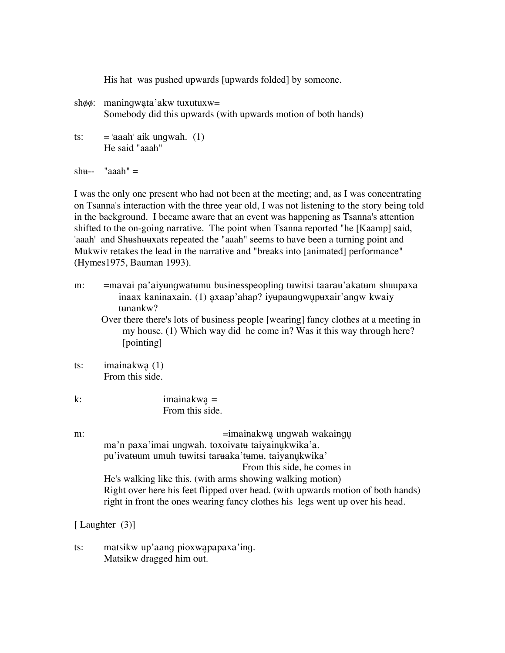His hat was pushed upwards [upwards folded] by someone.

- $sh\phi\phi$ : maningwata'akw tuxutuxw= Somebody did this upwards (with upwards motion of both hands)
- ts:  $=$  'aaah' aik ungwah. (1) He said "aaah"

sh $u_{--}$  "aaah"  $=$ 

I was the only one present who had not been at the meeting; and, as I was concentrating on Tsanna's interaction with the three year old, I was not listening to the story being told in the background. I became aware that an event was happening as Tsanna's attention shifted to the on-going narrative. The point when Tsanna reported "he [Kaamp] said, 'aaah' and Shushuuxats repeated the "aaah" seems to have been a turning point and Mukwiv retakes the lead in the narrative and "breaks into [animated] performance" (Hymes1975, Bauman 1993).

m: = = mavai pa'aiyungwatumu businesspeopling tuwitsi taarau'akatum shuupaxa inaax kaninaxain. (1) axaap'ahap? iyupaungwupuxair'angw kwaiy tunankw? Over there there's lots of business people [wearing] fancy clothes at a meeting in my house. (1) Which way did he come in? Was it this way through here? [pointing] ts: imainakwa $(1)$ From this side.

| k: | $imainakwa =$   |
|----|-----------------|
|    | From this side. |

m: =imainakwa ungwah wakaingu ma'n paxa'imai ungwah. toxoivatu taiyainukwika'a. pu'ivatuum umuh tuwitsi taruaka'tumu, taiyanukwika' From this side, he comes in He's walking like this. (with arms showing walking motion) Right over here his feet flipped over head. (with upwards motion of both hands) right in front the ones wearing fancy clothes his legs went up over his head.

# [ Laughter  $(3)$ ]

ts: matsikw up'aang pioxwapapaxa'ing. Matsikw dragged him out.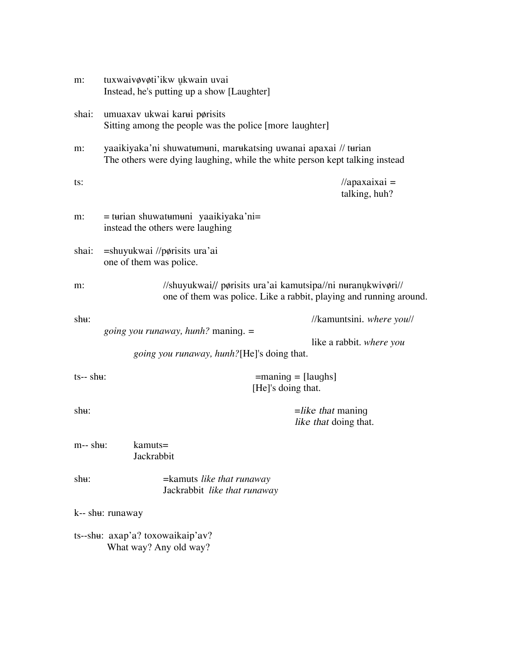| m:                                                         | tuxwaivøvøti'ikw ukwain uvai<br>Instead, he's putting up a show [Laughter]                                                                    |                                                                                                                                   |
|------------------------------------------------------------|-----------------------------------------------------------------------------------------------------------------------------------------------|-----------------------------------------------------------------------------------------------------------------------------------|
| shai:                                                      | umuaxav ukwai karui pørisits<br>Sitting among the people was the police [more laughter]                                                       |                                                                                                                                   |
| m:                                                         | yaaikiyaka'ni shuwatumuni, marukatsing uwanai apaxai // turian<br>The others were dying laughing, while the white person kept talking instead |                                                                                                                                   |
| ts:                                                        |                                                                                                                                               | $\theta$ //apaxaixai =<br>talking, huh?                                                                                           |
| m:                                                         | $=$ turian shuwatumuni yaaikiyaka'ni $=$<br>instead the others were laughing                                                                  |                                                                                                                                   |
| shai:                                                      | $=$ shuyukwai //p $\phi$ risits ura'ai<br>one of them was police.                                                                             |                                                                                                                                   |
| m:                                                         |                                                                                                                                               | //shuyukwai// pørisits ura'ai kamutsipa//ni nuranukwivøri//<br>one of them was police. Like a rabbit, playing and running around. |
| sh <sub>H</sub> :                                          | <i>going you runaway, hunh?</i> maning. =                                                                                                     | //kamuntsini. where you//                                                                                                         |
|                                                            | <i>going you runaway, hunh?</i> [He]'s doing that.                                                                                            | like a rabbit. where you                                                                                                          |
| $ts-$ shu:                                                 |                                                                                                                                               | $=$ maning $=$ [laughs]<br>[He]'s doing that.                                                                                     |
| shu:                                                       |                                                                                                                                               | $=$ like that maning<br>like that doing that.                                                                                     |
| $m-$ shu:                                                  | $k$ amuts $=$<br>Jackrabbit                                                                                                                   |                                                                                                                                   |
| $sh\mathbf{u}$ :                                           | =kamuts <i>like that runaway</i><br>Jackrabbit like that runaway                                                                              |                                                                                                                                   |
|                                                            | k-- shu: runaway                                                                                                                              |                                                                                                                                   |
| ts--shu: axap'a? toxowaikaip'av?<br>What way? Any old way? |                                                                                                                                               |                                                                                                                                   |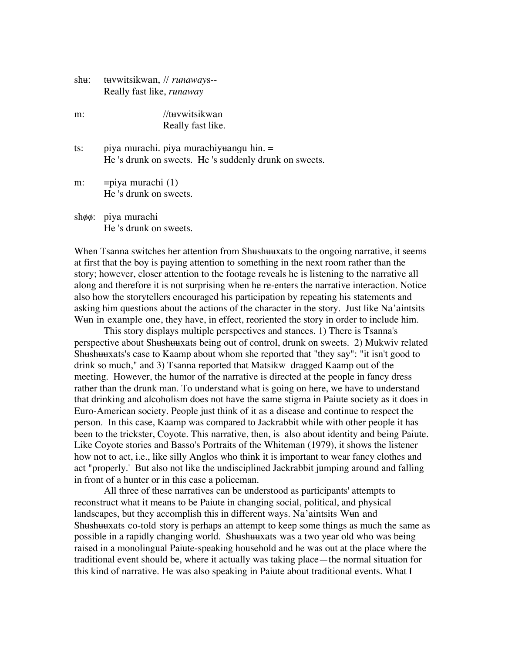| shu: tuvwitsikwan, // runaways-- |
|----------------------------------|
| Really fast like, runaway        |

m: //twwitsikwan Really fast like.

ts: piya murachi. piya murachiyuangu hin.  $=$ He 's drunk on sweets. He 's suddenly drunk on sweets.

m: =piya murachi (1) He 's drunk on sweets.

 $sh\phi\phi$ : piya murachi He 's drunk on sweets.

When Tsanna switches her attention from Shushuuxats to the ongoing narrative, it seems at first that the boy is paying attention to something in the next room rather than the story; however, closer attention to the footage reveals he is listening to the narrative all along and therefore it is not surprising when he re-enters the narrative interaction. Notice also how the storytellers encouraged his participation by repeating his statements and asking him questions about the actions of the character in the story. Just like Na'aintsits We un in example one, they have, in effect, reoriented the story in order to include him.

This story displays multiple perspectives and stances. 1) There is Tsanna's perspective about Shushuuxats being out of control, drunk on sweets. 2) Mukwiv related Shushuuxats's case to Kaamp about whom she reported that "they say": "it isn't good to drink so much," and 3) Tsanna reported that Matsikw dragged Kaamp out of the meeting. However, the humor of the narrative is directed at the people in fancy dress rather than the drunk man. To understand what is going on here, we have to understand that drinking and alcoholism does not have the same stigma in Paiute society as it does in Euro-American society. People just think of it as a disease and continue to respect the person. In this case, Kaamp was compared to Jackrabbit while with other people it has been to the trickster, Coyote. This narrative, then, is also about identity and being Paiute. Like Coyote stories and Basso's Portraits of the Whiteman (1979), it shows the listener how not to act, i.e., like silly Anglos who think it is important to wear fancy clothes and act "properly.' But also not like the undisciplined Jackrabbit jumping around and falling in front of a hunter or in this case a policeman.

All three of these narratives can be understood as participants' attempts to reconstruct what it means to be Paiute in changing social, political, and physical landscapes, but they accomplish this in different ways. Na'aintsits Wun and Shushuuxats co-told story is perhaps an attempt to keep some things as much the same as possible in a rapidly changing world. Shushuuxats was a two year old who was being raised in a monolingual Paiute-speaking household and he was out at the place where the traditional event should be, where it actually was taking place—the normal situation for this kind of narrative. He was also speaking in Paiute about traditional events. What I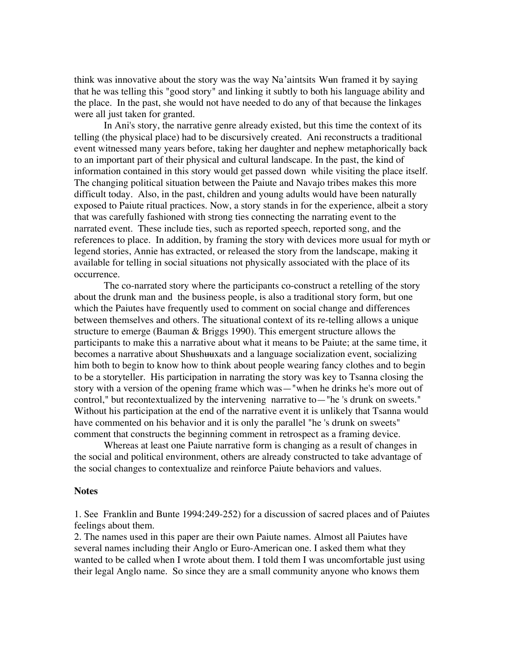think was innovative about the story was the way Na'aintsits W<sub>tem</sub> framed it by saying that he was telling this "good story" and linking it subtly to both his language ability and the place. In the past, she would not have needed to do any of that because the linkages were all just taken for granted.

In Ani's story, the narrative genre already existed, but this time the context of its telling (the physical place) had to be discursively created. Ani reconstructs a traditional event witnessed many years before, taking her daughter and nephew metaphorically back to an important part of their physical and cultural landscape. In the past, the kind of information contained in this story would get passed down while visiting the place itself. The changing political situation between the Paiute and Navajo tribes makes this more difficult today. Also, in the past, children and young adults would have been naturally exposed to Paiute ritual practices. Now, a story stands in for the experience, albeit a story that was carefully fashioned with strong ties connecting the narrating event to the narrated event. These include ties, such as reported speech, reported song, and the references to place. In addition, by framing the story with devices more usual for myth or legend stories, Annie has extracted, or released the story from the landscape, making it available for telling in social situations not physically associated with the place of its occurrence.

The co-narrated story where the participants co-construct a retelling of the story about the drunk man and the business people, is also a traditional story form, but one which the Paiutes have frequently used to comment on social change and differences between themselves and others. The situational context of its re-telling allows a unique structure to emerge (Bauman & Briggs 1990). This emergent structure allows the participants to make this a narrative about what it means to be Paiute; at the same time, it becomes a narrative about Shushuuxats and a language socialization event, socializing him both to begin to know how to think about people wearing fancy clothes and to begin to be a storyteller. His participation in narrating the story was key to Tsanna closing the story with a version of the opening frame which was—"when he drinks he's more out of control," but recontextualized by the intervening narrative to—"he 's drunk on sweets." Without his participation at the end of the narrative event it is unlikely that Tsanna would have commented on his behavior and it is only the parallel "he 's drunk on sweets" comment that constructs the beginning comment in retrospect as a framing device.

Whereas at least one Paiute narrative form is changing as a result of changes in the social and political environment, others are already constructed to take advantage of the social changes to contextualize and reinforce Paiute behaviors and values.

### **Notes**

1. See Franklin and Bunte 1994:249-252) for a discussion of sacred places and of Paiutes feelings about them.

2. The names used in this paper are their own Paiute names. Almost all Paiutes have several names including their Anglo or Euro-American one. I asked them what they wanted to be called when I wrote about them. I told them I was uncomfortable just using their legal Anglo name. So since they are a small community anyone who knows them